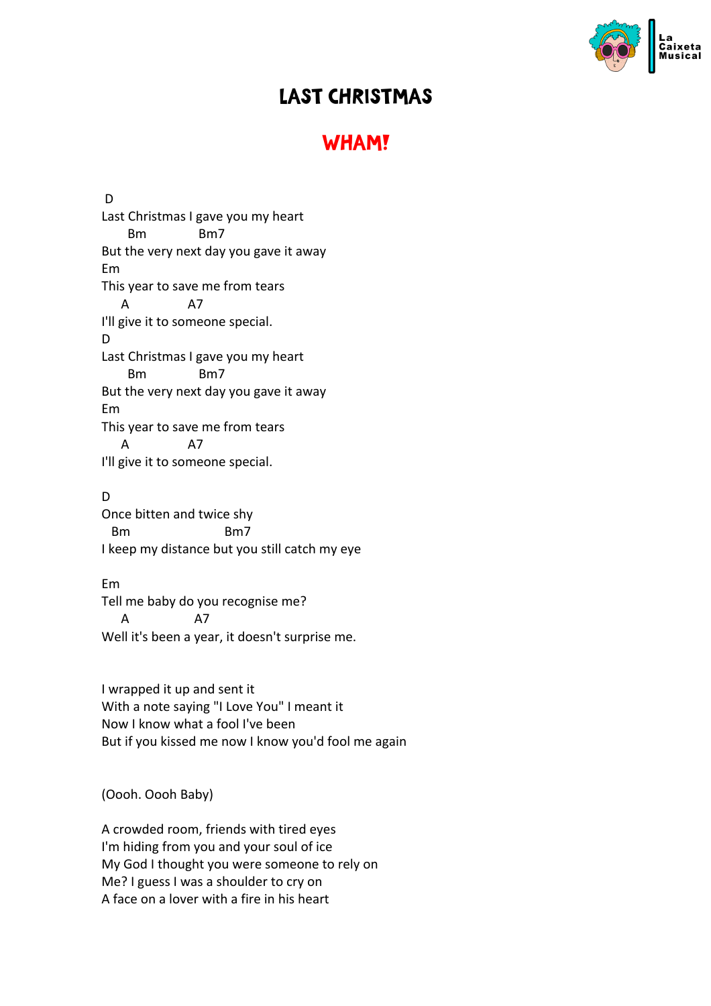

## LAST CHRISTMAS

## **WHAM!**

D Last Christmas I gave you my heart Bm Bm7 But the very next day you gave it away Em This year to save me from tears A A7 I'll give it to someone special. D Last Christmas I gave you my heart Bm Bm7 But the very next day you gave it away Em This year to save me from tears A A7 I'll give it to someone special.

## D

Once bitten and twice shy Bm Bm7 I keep my distance but you still catch my eye

## Em

Tell me baby do you recognise me? A A7 Well it's been a year, it doesn't surprise me.

I wrapped it up and sent it With a note saying "I Love You" I meant it Now I know what a fool I've been But if you kissed me now I know you'd fool me again

(Oooh. Oooh Baby)

A crowded room, friends with tired eyes I'm hiding from you and your soul of ice My God I thought you were someone to rely on Me? I guess I was a shoulder to cry on A face on a lover with a fire in his heart